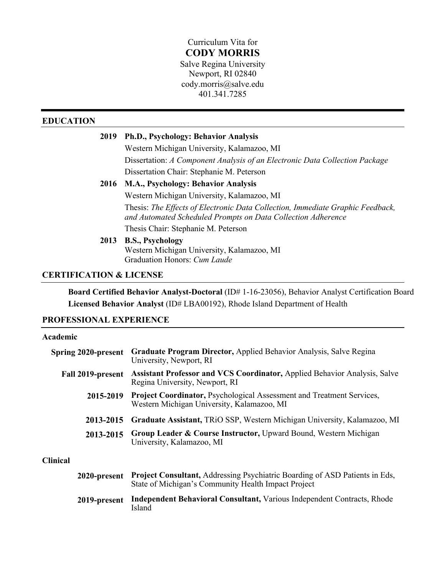# Curriculum Vita for **CODY MORRIS**

Salve Regina University Newport, RI 02840 cody.morris@salve.edu 401.341.7285

# **EDUCATION**

# **2019 Ph.D., Psychology: Behavior Analysis**

Western Michigan University, Kalamazoo, MI Dissertation: *A Component Analysis of an Electronic Data Collection Package* Dissertation Chair: Stephanie M. Peterson

## **2016 M.A., Psychology: Behavior Analysis**

Western Michigan University, Kalamazoo, MI Thesis: *The Effects of Electronic Data Collection, Immediate Graphic Feedback, and Automated Scheduled Prompts on Data Collection Adherence* Thesis Chair: Stephanie M. Peterson

## **2013 B.S., Psychology**

Western Michigan University, Kalamazoo, MI Graduation Honors: *Cum Laude*

# **CERTIFICATION & LICENSE**

**Board Certified Behavior Analyst-Doctoral** (ID# 1-16-23056), Behavior Analyst Certification Board **Licensed Behavior Analyst** (ID# LBA00192), Rhode Island Department of Health

# **PROFESSIONAL EXPERIENCE**

#### **Academic**

| <b>Spring 2020-present</b> | Graduate Program Director, Applied Behavior Analysis, Salve Regina<br>University, Newport, RI                                             |
|----------------------------|-------------------------------------------------------------------------------------------------------------------------------------------|
| Fall 2019-present          | <b>Assistant Professor and VCS Coordinator, Applied Behavior Analysis, Salve</b><br>Regina University, Newport, RI                        |
| 2015-2019                  | <b>Project Coordinator, Psychological Assessment and Treatment Services,</b><br>Western Michigan University, Kalamazoo, MI                |
| 2013-2015                  | Graduate Assistant, TRiO SSP, Western Michigan University, Kalamazoo, MI                                                                  |
| 2013-2015                  | Group Leader & Course Instructor, Upward Bound, Western Michigan<br>University, Kalamazoo, MI                                             |
| <b>Clinical</b>            |                                                                                                                                           |
| 2020-present               | <b>Project Consultant, Addressing Psychiatric Boarding of ASD Patients in Eds,</b><br>State of Michigan's Community Health Impact Project |
|                            | TI INDI 'IN IN IT' TI IN IN IT                                                                                                            |

**2019-present Independent Behavioral Consultant,** Various Independent Contracts, Rhode Island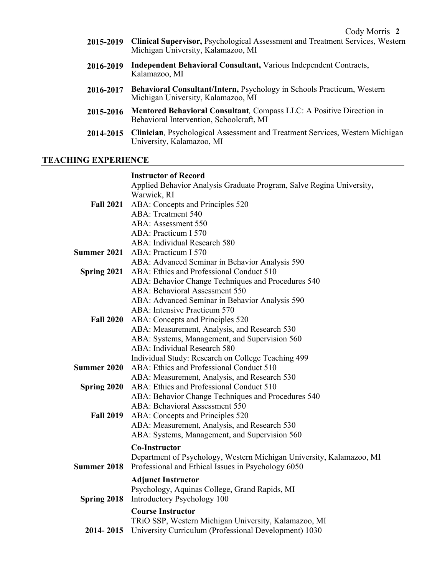- **2015-2019 Clinical Supervisor,** Psychological Assessment and Treatment Services, Western Michigan University, Kalamazoo, MI
- **2016-2019 Independent Behavioral Consultant,** Various Independent Contracts, Kalamazoo, MI
- **2016-2017 Behavioral Consultant/Intern,** Psychology in Schools Practicum, Western Michigan University, Kalamazoo, MI
- **2015-2016 Mentored Behavioral Consultant***,* Compass LLC: A Positive Direction in Behavioral Intervention, Schoolcraft, MI
- **2014-2015 Clinician***,* Psychological Assessment and Treatment Services, Western Michigan University, Kalamazoo, MI

## **TEACHING EXPERIENCE**

# **Instructor of Record**

|                    | Applied Behavior Analysis Graduate Program, Salve Regina University,<br>Warwick, RI |
|--------------------|-------------------------------------------------------------------------------------|
|                    | Fall 2021 ABA: Concepts and Principles 520                                          |
|                    | <b>ABA: Treatment 540</b>                                                           |
|                    | ABA: Assessment 550                                                                 |
|                    | ABA: Practicum I 570                                                                |
|                    | ABA: Individual Research 580                                                        |
| <b>Summer 2021</b> | ABA: Practicum I 570                                                                |
|                    | ABA: Advanced Seminar in Behavior Analysis 590                                      |
| Spring 2021        | ABA: Ethics and Professional Conduct 510                                            |
|                    | ABA: Behavior Change Techniques and Procedures 540                                  |
|                    | <b>ABA: Behavioral Assessment 550</b>                                               |
|                    | ABA: Advanced Seminar in Behavior Analysis 590                                      |
|                    | ABA: Intensive Practicum 570                                                        |
| <b>Fall 2020</b>   | ABA: Concepts and Principles 520                                                    |
|                    | ABA: Measurement, Analysis, and Research 530                                        |
|                    | ABA: Systems, Management, and Supervision 560                                       |
|                    | ABA: Individual Research 580                                                        |
|                    | Individual Study: Research on College Teaching 499                                  |
| <b>Summer 2020</b> | ABA: Ethics and Professional Conduct 510                                            |
|                    | ABA: Measurement, Analysis, and Research 530                                        |
| Spring 2020        | ABA: Ethics and Professional Conduct 510                                            |
|                    | ABA: Behavior Change Techniques and Procedures 540                                  |
|                    | ABA: Behavioral Assessment 550                                                      |
| <b>Fall 2019</b>   | ABA: Concepts and Principles 520                                                    |
|                    | ABA: Measurement, Analysis, and Research 530                                        |
|                    | ABA: Systems, Management, and Supervision 560                                       |
|                    | <b>Co-Instructor</b>                                                                |
|                    | Department of Psychology, Western Michigan University, Kalamazoo, MI                |
| <b>Summer 2018</b> | Professional and Ethical Issues in Psychology 6050                                  |
|                    | <b>Adjunct Instructor</b>                                                           |
|                    | Psychology, Aquinas College, Grand Rapids, MI                                       |
| Spring 2018        | Introductory Psychology 100                                                         |
|                    | <b>Course Instructor</b>                                                            |
|                    | TRiO SSP, Western Michigan University, Kalamazoo, MI                                |
| 2014-2015          | University Curriculum (Professional Development) 1030                               |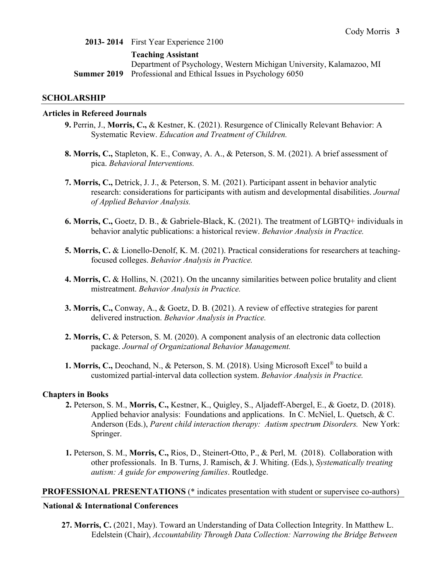**2013- 2014** First Year Experience 2100

#### **Teaching Assistant**

Department of Psychology, Western Michigan University, Kalamazoo, MI **Summer 2019** Professional and Ethical Issues in Psychology 6050

#### **SCHOLARSHIP**

#### **Articles in Refereed Journals**

- **9.** Perrin, J., **Morris, C.,** & Kestner, K. (2021). Resurgence of Clinically Relevant Behavior: A Systematic Review. *Education and Treatment of Children.*
- **8. Morris, C.,** Stapleton, K. E., Conway, A. A., & Peterson, S. M. (2021). A brief assessment of pica. *Behavioral Interventions.*
- **7. Morris, C.,** Detrick, J. J., & Peterson, S. M. (2021). Participant assent in behavior analytic research: considerations for participants with autism and developmental disabilities. *Journal of Applied Behavior Analysis.*
- **6. Morris, C.,** Goetz, D. B., & Gabriele-Black, K. (2021). The treatment of LGBTQ+ individuals in behavior analytic publications: a historical review. *Behavior Analysis in Practice.*
- **5. Morris, C.** & Lionello-Denolf, K. M. (2021). Practical considerations for researchers at teachingfocused colleges. *Behavior Analysis in Practice.*
- **4. Morris, C.** & Hollins, N. (2021). On the uncanny similarities between police brutality and client mistreatment. *Behavior Analysis in Practice.*
- **3. Morris, C.,** Conway, A., & Goetz, D. B. (2021). A review of effective strategies for parent delivered instruction. *Behavior Analysis in Practice.*
- **2. Morris, C.** & Peterson, S. M. (2020). A component analysis of an electronic data collection package. *Journal of Organizational Behavior Management.*
- **1. Morris, C.,** Deochand, N., & Peterson, S. M. (2018). Using Microsoft Excel® to build a customized partial-interval data collection system. *Behavior Analysis in Practice.*

#### **Chapters in Books**

- **2.** Peterson, S. M., **Morris, C.,** Kestner, K., Quigley, S., Aljadeff-Abergel, E., & Goetz, D. (2018). Applied behavior analysis: Foundations and applications. In C. McNiel, L. Quetsch, & C. Anderson (Eds.), *Parent child interaction therapy: Autism spectrum Disorders.* New York: Springer.
- **1.** Peterson, S. M., **Morris, C.,** Rios, D., Steinert-Otto, P., & Perl, M. (2018). Collaboration with other professionals. In B. Turns, J. Ramisch, & J. Whiting. (Eds.), *Systematically treating autism: A guide for empowering families*. Routledge.

#### **PROFESSIONAL PRESENTATIONS** (\* indicates presentation with student or supervisee co-authors)

#### **National & International Conferences**

**27. Morris, C.** (2021, May). Toward an Understanding of Data Collection Integrity. In Matthew L. Edelstein (Chair), *Accountability Through Data Collection: Narrowing the Bridge Between*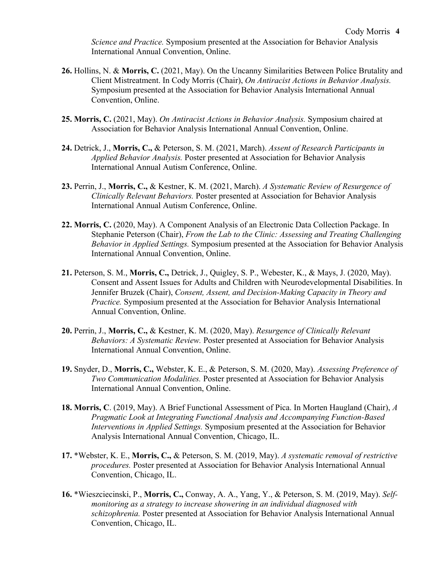*Science and Practice.* Symposium presented at the Association for Behavior Analysis International Annual Convention, Online.

- **26.** Hollins, N. & **Morris, C.** (2021, May). On the Uncanny Similarities Between Police Brutality and Client Mistreatment. In Cody Morris (Chair), *On Antiracist Actions in Behavior Analysis.* Symposium presented at the Association for Behavior Analysis International Annual Convention, Online.
- **25. Morris, C.** (2021, May). *On Antiracist Actions in Behavior Analysis.* Symposium chaired at Association for Behavior Analysis International Annual Convention, Online.
- **24.** Detrick, J., **Morris, C.,** & Peterson, S. M. (2021, March). *Assent of Research Participants in Applied Behavior Analysis.* Poster presented at Association for Behavior Analysis International Annual Autism Conference, Online.
- **23.** Perrin, J., **Morris, C.,** & Kestner, K. M. (2021, March). *A Systematic Review of Resurgence of Clinically Relevant Behaviors.* Poster presented at Association for Behavior Analysis International Annual Autism Conference, Online.
- **22. Morris, C.** (2020, May). A Component Analysis of an Electronic Data Collection Package. In Stephanie Peterson (Chair), *From the Lab to the Clinic: Assessing and Treating Challenging Behavior in Applied Settings.* Symposium presented at the Association for Behavior Analysis International Annual Convention, Online.
- **21.** Peterson, S. M., **Morris, C.,** Detrick, J., Quigley, S. P., Webester, K., & Mays, J. (2020, May). Consent and Assent Issues for Adults and Children with Neurodevelopmental Disabilities. In Jennifer Bruzek (Chair), *Consent, Assent, and Decision-Making Capacity in Theory and Practice.* Symposium presented at the Association for Behavior Analysis International Annual Convention, Online.
- **20.** Perrin, J., **Morris, C.,** & Kestner, K. M. (2020, May). *Resurgence of Clinically Relevant Behaviors: A Systematic Review.* Poster presented at Association for Behavior Analysis International Annual Convention, Online.
- **19.** Snyder, D., **Morris, C.,** Webster, K. E., & Peterson, S. M. (2020, May). *Assessing Preference of Two Communication Modalities.* Poster presented at Association for Behavior Analysis International Annual Convention, Online.
- **18. Morris, C**. (2019, May). A Brief Functional Assessment of Pica. In Morten Haugland (Chair), *A Pragmatic Look at Integrating Functional Analysis and Accompanying Function-Based Interventions in Applied Settings.* Symposium presented at the Association for Behavior Analysis International Annual Convention, Chicago, IL.
- **17.** \*Webster, K. E., **Morris, C.,** & Peterson, S. M. (2019, May). *A systematic removal of restrictive procedures.* Poster presented at Association for Behavior Analysis International Annual Convention, Chicago, IL.
- **16.** \*Wieszciecinski, P., **Morris, C.,** Conway, A. A., Yang, Y., & Peterson, S. M. (2019, May). *Selfmonitoring as a strategy to increase showering in an individual diagnosed with schizophrenia.* Poster presented at Association for Behavior Analysis International Annual Convention, Chicago, IL.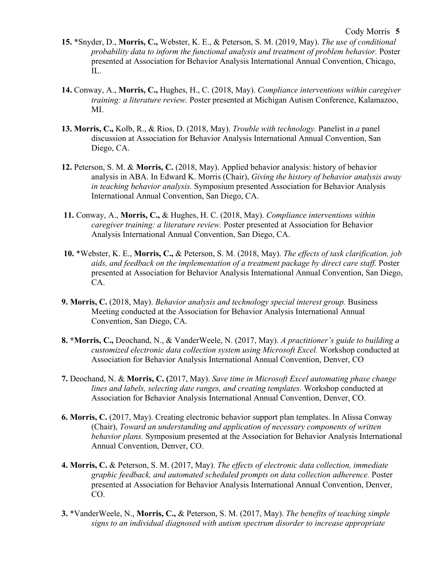- **15.** \*Snyder, D., **Morris, C.,** Webster, K. E., & Peterson, S. M. (2019, May). *The use of conditional probability data to inform the functional analysis and treatment of problem behavior.* Poster presented at Association for Behavior Analysis International Annual Convention, Chicago, IL.
- **14.** Conway, A., **Morris, C.,** Hughes, H., C. (2018, May). *Compliance interventions within caregiver training: a literature review.* Poster presented at Michigan Autism Conference, Kalamazoo, MI.
- **13. Morris, C.,** Kolb, R., & Rios, D. (2018, May). *Trouble with technology.* Panelist in *a* panel discussion at Association for Behavior Analysis International Annual Convention, San Diego, CA.
- **12.** Peterson, S. M. & **Morris, C.** (2018, May). Applied behavior analysis: history of behavior analysis in ABA. In Edward K. Morris (Chair), *Giving the history of behavior analysis away in teaching behavior analysis.* Symposium presented Association for Behavior Analysis International Annual Convention, San Diego, CA.
- **11.** Conway, A., **Morris, C.,** & Hughes, H. C. (2018, May). *Compliance interventions within caregiver training: a literature review.* Poster presented at Association for Behavior Analysis International Annual Convention, San Diego, CA.
- **10.** \*Webster, K. E., **Morris, C.,** & Peterson, S. M. (2018, May). *The effects of task clarification, job aids, and feedback on the implementation of a treatment package by direct care staff.* Poster presented at Association for Behavior Analysis International Annual Convention, San Diego, CA.
- **9. Morris, C.** (2018, May). *Behavior analysis and technology special interest group.* Business Meeting conducted at the Association for Behavior Analysis International Annual Convention, San Diego, CA.
- **8. \*Morris, C.,** Deochand, N., & VanderWeele, N. (2017, May). *A practitioner's guide to building a customized electronic data collection system using Microsoft Excel.* Workshop conducted at Association for Behavior Analysis International Annual Convention, Denver, CO
- **7.** Deochand, N. & **Morris, C. (**2017, May). *Save time in Microsoft Excel automating phase change lines and labels, selecting date ranges, and creating templates.* Workshop conducted at Association for Behavior Analysis International Annual Convention, Denver, CO.
- **6. Morris, C.** (2017, May). Creating electronic behavior support plan templates. In Alissa Conway (Chair), *Toward an understanding and application of necessary components of written behavior plans.* Symposium presented at the Association for Behavior Analysis International Annual Convention, Denver, CO.
- **4. Morris, C.** & Peterson, S. M. (2017, May). *The effects of electronic data collection, immediate graphic feedback, and automated scheduled prompts on data collection adherence.* Poster presented at Association for Behavior Analysis International Annual Convention, Denver, CO.
- **3.** \*VanderWeele, N., **Morris, C.,** & Peterson, S. M. (2017, May). *The benefits of teaching simple signs to an individual diagnosed with autism spectrum disorder to increase appropriate*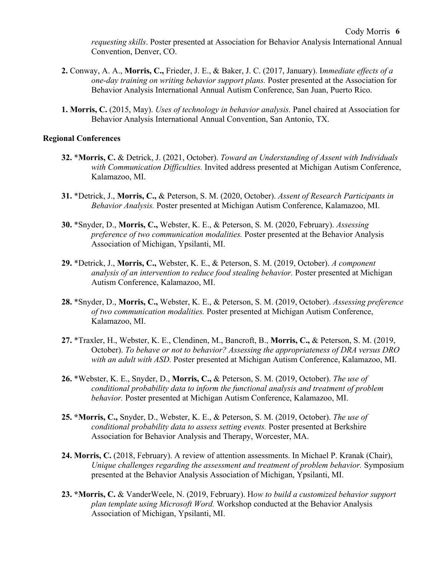- **2.** Conway, A. A., **Morris, C.,** Frieder, J. E., & Baker, J. C. (2017, January). I*mmediate effects of a one-day training on writing behavior support plans.* Poster presented at the Association for Behavior Analysis International Annual Autism Conference, San Juan, Puerto Rico.
- **1. Morris, C.** (2015, May). *Uses of technology in behavior analysis.* Panel chaired at Association for Behavior Analysis International Annual Convention, San Antonio, TX.

# **Regional Conferences**

- **32.** \***Morris, C.** & Detrick, J. (2021, October). *Toward an Understanding of Assent with Individuals with Communication Difficulties.* Invited address presented at Michigan Autism Conference, Kalamazoo, MI.
- **31.** \*Detrick, J., **Morris, C.,** & Peterson, S. M. (2020, October). *Assent of Research Participants in Behavior Analysis.* Poster presented at Michigan Autism Conference, Kalamazoo, MI.
- **30.** \*Snyder, D., **Morris, C.,** Webster, K. E., & Peterson, S. M. (2020, February). *Assessing preference of two communication modalities.* Poster presented at the Behavior Analysis Association of Michigan, Ypsilanti, MI.
- **29.** \*Detrick, J., **Morris, C.,** Webster, K. E., & Peterson, S. M. (2019, October). *A component analysis of an intervention to reduce food stealing behavior.* Poster presented at Michigan Autism Conference, Kalamazoo, MI.
- **28.** \*Snyder, D., **Morris, C.,** Webster, K. E., & Peterson, S. M. (2019, October). *Assessing preference of two communication modalities.* Poster presented at Michigan Autism Conference, Kalamazoo, MI.
- **27.** \*Traxler, H., Webster, K. E., Clendinen, M., Bancroft, B., **Morris, C.,** & Peterson, S. M. (2019, October). *To behave or not to behavior? Assessing the appropriateness of DRA versus DRO with an adult with ASD.* Poster presented at Michigan Autism Conference, Kalamazoo, MI.
- **26.** \*Webster, K. E., Snyder, D., **Morris, C.,** & Peterson, S. M. (2019, October). *The use of conditional probability data to inform the functional analysis and treatment of problem behavior.* Poster presented at Michigan Autism Conference, Kalamazoo, MI.
- **25. \*Morris, C.,** Snyder, D., Webster, K. E., & Peterson, S. M. (2019, October). *The use of conditional probability data to assess setting events.* Poster presented at Berkshire Association for Behavior Analysis and Therapy, Worcester, MA.
- **24. Morris, C.** (2018, February). A review of attention assessments. In Michael P. Kranak (Chair), *Unique challenges regarding the assessment and treatment of problem behavior.* Symposium presented at the Behavior Analysis Association of Michigan, Ypsilanti, MI.
- **23. \*Morris, C.** & VanderWeele, N. (2019, February). H*ow to build a customized behavior support plan template using Microsoft Word.* Workshop conducted at the Behavior Analysis Association of Michigan, Ypsilanti, MI.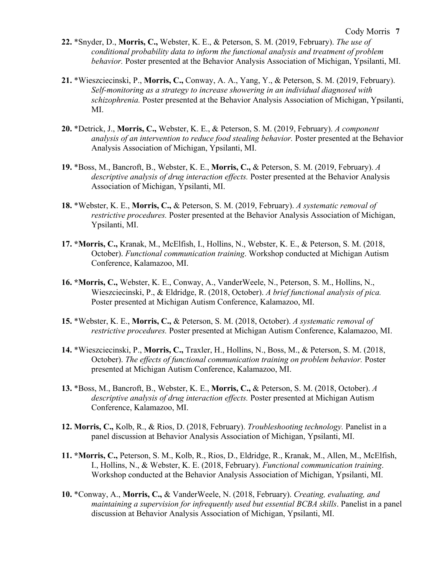- **22.** \*Snyder, D., **Morris, C.,** Webster, K. E., & Peterson, S. M. (2019, February). *The use of conditional probability data to inform the functional analysis and treatment of problem behavior.* Poster presented at the Behavior Analysis Association of Michigan, Ypsilanti, MI.
- **21.** \*Wieszciecinski, P., **Morris, C.,** Conway, A. A., Yang, Y., & Peterson, S. M. (2019, February). *Self-monitoring as a strategy to increase showering in an individual diagnosed with schizophrenia.* Poster presented at the Behavior Analysis Association of Michigan, Ypsilanti, MI.
- **20.** \*Detrick, J., **Morris, C.,** Webster, K. E., & Peterson, S. M. (2019, February). *A component analysis of an intervention to reduce food stealing behavior.* Poster presented at the Behavior Analysis Association of Michigan, Ypsilanti, MI.
- **19.** \*Boss, M., Bancroft, B., Webster, K. E., **Morris, C.,** & Peterson, S. M. (2019, February). *A descriptive analysis of drug interaction effects.* Poster presented at the Behavior Analysis Association of Michigan, Ypsilanti, MI.
- **18.** \*Webster, K. E., **Morris, C.,** & Peterson, S. M. (2019, February). *A systematic removal of restrictive procedures.* Poster presented at the Behavior Analysis Association of Michigan, Ypsilanti, MI.
- **17. \*Morris, C.,** Kranak, M., McElfish, I., Hollins, N., Webster, K. E., & Peterson, S. M. (2018, October). *Functional communication training*. Workshop conducted at Michigan Autism Conference, Kalamazoo, MI.
- **16. \*Morris, C.,** Webster, K. E., Conway, A., VanderWeele, N., Peterson, S. M., Hollins, N., Wieszciecinski, P., & Eldridge, R. (2018, October). *A brief functional analysis of pica.*  Poster presented at Michigan Autism Conference, Kalamazoo, MI.
- **15.** \*Webster, K. E., **Morris, C.,** & Peterson, S. M. (2018, October). *A systematic removal of restrictive procedures.* Poster presented at Michigan Autism Conference, Kalamazoo, MI.
- **14.** \*Wieszciecinski, P., **Morris, C.,** Traxler, H., Hollins, N., Boss, M., & Peterson, S. M. (2018, October). *The effects of functional communication training on problem behavior*. Poster presented at Michigan Autism Conference, Kalamazoo, MI.
- **13.** \*Boss, M., Bancroft, B., Webster, K. E., **Morris, C.,** & Peterson, S. M. (2018, October). *A descriptive analysis of drug interaction effects.* Poster presented at Michigan Autism Conference, Kalamazoo, MI.
- **12. Morris, C.,** Kolb, R., & Rios, D. (2018, February). *Troubleshooting technology.* Panelist in a panel discussion at Behavior Analysis Association of Michigan, Ypsilanti, MI.
- **11. \*Morris, C.,** Peterson, S. M., Kolb, R., Rios, D., Eldridge, R., Kranak, M., Allen, M., McElfish, I., Hollins, N., & Webster, K. E. (2018, February). *Functional communication training*. Workshop conducted at the Behavior Analysis Association of Michigan, Ypsilanti, MI.
- **10.** \*Conway, A., **Morris, C.,** & VanderWeele, N. (2018, February). *Creating, evaluating, and maintaining a supervision for infrequently used but essential BCBA skills*. Panelist in a panel discussion at Behavior Analysis Association of Michigan, Ypsilanti, MI.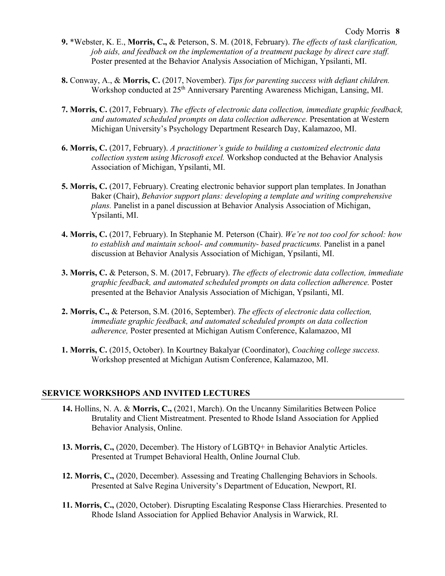- **9.** \*Webster, K. E., **Morris, C.,** & Peterson, S. M. (2018, February). *The effects of task clarification, job aids, and feedback on the implementation of a treatment package by direct care staff.*  Poster presented at the Behavior Analysis Association of Michigan, Ypsilanti, MI.
- **8.** Conway, A., & **Morris, C.** (2017, November). *Tips for parenting success with defiant children.*  Workshop conducted at 25<sup>th</sup> Anniversary Parenting Awareness Michigan, Lansing, MI.
- **7. Morris, C.** (2017, February). *The effects of electronic data collection, immediate graphic feedback, and automated scheduled prompts on data collection adherence.* Presentation at Western Michigan University's Psychology Department Research Day, Kalamazoo, MI.
- **6. Morris, C.** (2017, February). *A practitioner's guide to building a customized electronic data collection system using Microsoft excel.* Workshop conducted at the Behavior Analysis Association of Michigan, Ypsilanti, MI.
- **5. Morris, C.** (2017, February). Creating electronic behavior support plan templates. In Jonathan Baker (Chair), *Behavior support plans: developing a template and writing comprehensive plans.* Panelist in a panel discussion at Behavior Analysis Association of Michigan, Ypsilanti, MI.
- **4. Morris, C.** (2017, February). In Stephanie M. Peterson (Chair). *We're not too cool for school: how to establish and maintain school- and community- based practicums.* Panelist in a panel discussion at Behavior Analysis Association of Michigan, Ypsilanti, MI.
- **3. Morris, C.** & Peterson, S. M. (2017, February). *The effects of electronic data collection, immediate graphic feedback, and automated scheduled prompts on data collection adherence.* Poster presented at the Behavior Analysis Association of Michigan, Ypsilanti, MI.
- **2. Morris, C.,** & Peterson, S.M. (2016, September). *The effects of electronic data collection, immediate graphic feedback, and automated scheduled prompts on data collection adherence,* Poster presented at Michigan Autism Conference, Kalamazoo, MI
- **1. Morris, C.** (2015, October). In Kourtney Bakalyar (Coordinator), *Coaching college success.*  Workshop presented at Michigan Autism Conference, Kalamazoo, MI.

## **SERVICE WORKSHOPS AND INVITED LECTURES**

- **14.** Hollins, N. A. & **Morris, C.,** (2021, March). On the Uncanny Similarities Between Police Brutality and Client Mistreatment. Presented to Rhode Island Association for Applied Behavior Analysis, Online.
- **13. Morris, C.,** (2020, December). The History of LGBTQ+ in Behavior Analytic Articles. Presented at Trumpet Behavioral Health, Online Journal Club.
- **12. Morris, C.,** (2020, December). Assessing and Treating Challenging Behaviors in Schools. Presented at Salve Regina University's Department of Education, Newport, RI.
- **11. Morris, C.,** (2020, October). Disrupting Escalating Response Class Hierarchies. Presented to Rhode Island Association for Applied Behavior Analysis in Warwick, RI.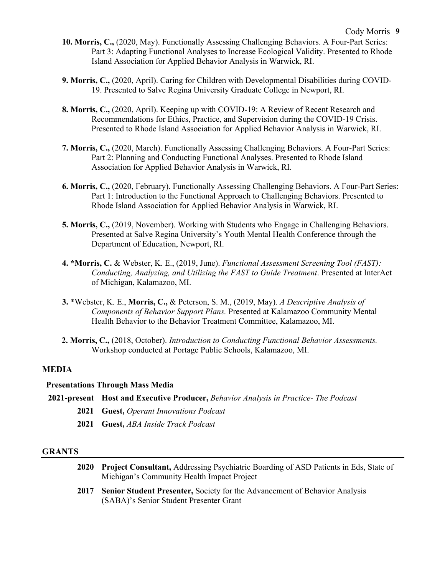- **10. Morris, C.,** (2020, May). Functionally Assessing Challenging Behaviors. A Four-Part Series: Part 3: Adapting Functional Analyses to Increase Ecological Validity. Presented to Rhode Island Association for Applied Behavior Analysis in Warwick, RI.
- **9. Morris, C.,** (2020, April). Caring for Children with Developmental Disabilities during COVID-19. Presented to Salve Regina University Graduate College in Newport, RI.
- **8. Morris, C.,** (2020, April). Keeping up with COVID-19: A Review of Recent Research and Recommendations for Ethics, Practice, and Supervision during the COVID-19 Crisis. Presented to Rhode Island Association for Applied Behavior Analysis in Warwick, RI.
- **7. Morris, C.,** (2020, March). Functionally Assessing Challenging Behaviors. A Four-Part Series: Part 2: Planning and Conducting Functional Analyses. Presented to Rhode Island Association for Applied Behavior Analysis in Warwick, RI.
- **6. Morris, C.,** (2020, February). Functionally Assessing Challenging Behaviors. A Four-Part Series: Part 1: Introduction to the Functional Approach to Challenging Behaviors. Presented to Rhode Island Association for Applied Behavior Analysis in Warwick, RI.
- **5. Morris, C.,** (2019, November). Working with Students who Engage in Challenging Behaviors. Presented at Salve Regina University's Youth Mental Health Conference through the Department of Education, Newport, RI.
- **4. \*Morris, C.** & Webster, K. E., (2019, June). *Functional Assessment Screening Tool (FAST): Conducting, Analyzing, and Utilizing the FAST to Guide Treatment*. Presented at InterAct of Michigan, Kalamazoo, MI.
- **3.** \*Webster, K. E., **Morris, C.,** & Peterson, S. M., (2019, May). *A Descriptive Analysis of Components of Behavior Support Plans.* Presented at Kalamazoo Community Mental Health Behavior to the Behavior Treatment Committee, Kalamazoo, MI.
- **2. Morris, C.,** (2018, October). *Introduction to Conducting Functional Behavior Assessments.*  Workshop conducted at Portage Public Schools, Kalamazoo, MI.

#### **MEDIA**

## **Presentations Through Mass Media**

- **2021-present Host and Executive Producer,** *Behavior Analysis in Practice- The Podcast*
	- **2021 Guest,** *Operant Innovations Podcast*
	- **2021 Guest,** *ABA Inside Track Podcast*

## **GRANTS**

- **2020 Project Consultant,** Addressing Psychiatric Boarding of ASD Patients in Eds, State of Michigan's Community Health Impact Project
- **2017 Senior Student Presenter,** Society for the Advancement of Behavior Analysis (SABA)'s Senior Student Presenter Grant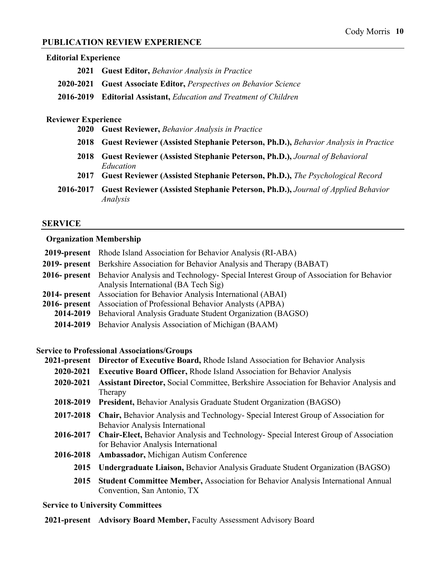# **PUBLICATION REVIEW EXPERIENCE**

| <b>Editorial Experience</b> |                                                                                              |
|-----------------------------|----------------------------------------------------------------------------------------------|
| 2021                        | <b>Guest Editor, Behavior Analysis in Practice</b>                                           |
| 2020-2021                   | <b>Guest Associate Editor, Perspectives on Behavior Science</b>                              |
| 2016-2019                   | <b>Editorial Assistant, Education and Treatment of Children</b>                              |
| <b>Reviewer Experience</b>  |                                                                                              |
| <b>2020</b>                 | <b>Guest Reviewer, Behavior Analysis in Practice</b>                                         |
| 2018                        | Guest Reviewer (Assisted Stephanie Peterson, Ph.D.), Behavior Analysis in Practice           |
| 2018                        | Guest Reviewer (Assisted Stephanie Peterson, Ph.D.), Journal of Behavioral<br>Education      |
| 2017                        | Guest Reviewer (Assisted Stephanie Peterson, Ph.D.), The Psychological Record                |
| 2016-2017                   | Guest Reviewer (Assisted Stephanie Peterson, Ph.D.), Journal of Applied Behavior<br>Analysis |

#### **SERVICE**

# **Organization Membership**

| <b>2019-present</b> Rhode Island Association for Behavior Analysis (RI-ABA)                        |
|----------------------------------------------------------------------------------------------------|
| <b>2019- present</b> Berkshire Association for Behavior Analysis and Therapy (BABAT)               |
| 2016- present Behavior Analysis and Technology- Special Interest Group of Association for Behavior |
| Analysis International (BA Tech Sig)                                                               |
| <b>2014- present</b> Association for Behavior Analysis International (ABAI)                        |
| <b>2016- present</b> Association of Professional Behavior Analysts (APBA)                          |
| 2014-2019 Behavioral Analysis Graduate Student Organization (BAGSO)                                |
| 2014-2019 Behavior Analysis Association of Michigan (BAAM)                                         |

#### **Service to Professional Associations/Groups**

|           | 2021-present Director of Executive Board, Rhode Island Association for Behavior Analysis    |
|-----------|---------------------------------------------------------------------------------------------|
| 2020-2021 | <b>Executive Board Officer, Rhode Island Association for Behavior Analysis</b>              |
| 2020-2021 | Assistant Director, Social Committee, Berkshire Association for Behavior Analysis and       |
|           | Therapy                                                                                     |
| 2018-2019 | <b>President, Behavior Analysis Graduate Student Organization (BAGSO)</b>                   |
| 2017-2018 | <b>Chair, Behavior Analysis and Technology- Special Interest Group of Association for</b>   |
|           | Behavior Analysis International                                                             |
| 2016-2017 | <b>Chair-Elect, Behavior Analysis and Technology- Special Interest Group of Association</b> |
|           | for Behavior Analysis International                                                         |
| 2016-2018 | Ambassador, Michigan Autism Conference                                                      |
|           | 2015 Undergraduate Liaison, Behavior Analysis Graduate Student Organization (BAGSO)         |
| 2015      | <b>Student Committee Member, Association for Behavior Analysis International Annual</b>     |
|           | Convention, San Antonio, TX                                                                 |

# **Service to University Committees**

# **2021-present Advisory Board Member,** Faculty Assessment Advisory Board